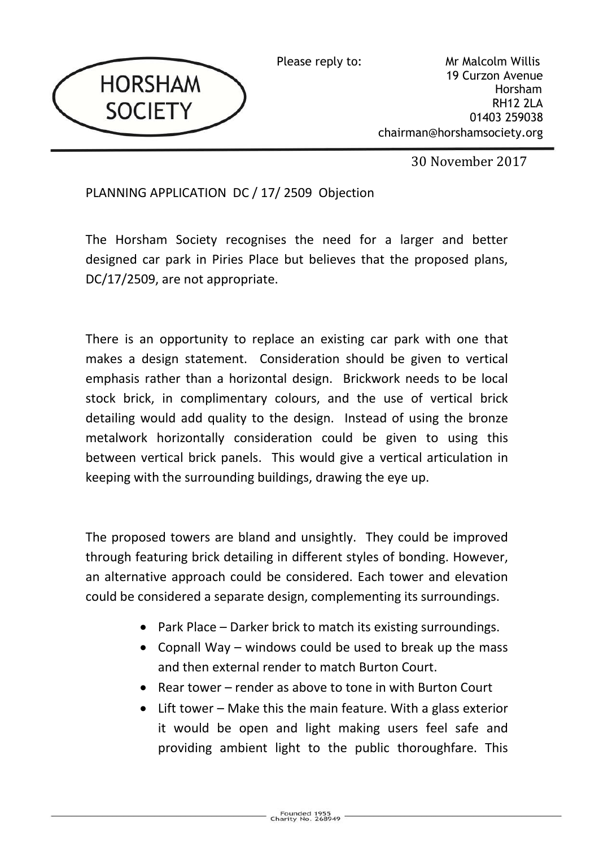

Please reply to: Mr Malcolm Willis 19 Curzon Avenue Horsham RH12 2LA 01403 259038 chairman@horshamsociety.org

30 November 2017

## PLANNING APPLICATION DC / 17/ 2509 Objection

The Horsham Society recognises the need for a larger and better designed car park in Piries Place but believes that the proposed plans, DC/17/2509, are not appropriate.

There is an opportunity to replace an existing car park with one that makes a design statement. Consideration should be given to vertical emphasis rather than a horizontal design. Brickwork needs to be local stock brick, in complimentary colours, and the use of vertical brick detailing would add quality to the design. Instead of using the bronze metalwork horizontally consideration could be given to using this between vertical brick panels. This would give a vertical articulation in keeping with the surrounding buildings, drawing the eye up.

The proposed towers are bland and unsightly. They could be improved through featuring brick detailing in different styles of bonding. However, an alternative approach could be considered. Each tower and elevation could be considered a separate design, complementing its surroundings.

- Park Place Darker brick to match its existing surroundings.
- Copnall Way windows could be used to break up the mass and then external render to match Burton Court.
- Rear tower render as above to tone in with Burton Court
- Lift tower Make this the main feature. With a glass exterior it would be open and light making users feel safe and providing ambient light to the public thoroughfare. This